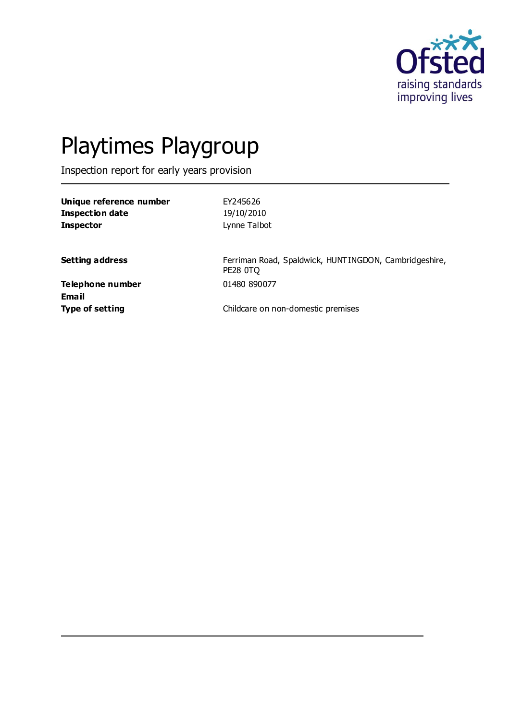

# Playtimes Playgroup

Inspection report for early years provision

| Unique reference number | EY245626     |
|-------------------------|--------------|
| Inspection date         | 19/10/2010   |
| Inspector               | Lynne Talbot |

**Setting address** Ferriman Road, Spaldwick, HUNTINGDON, Cambridgeshire, PE28 0TQ

**Telephone number** 01480 890077 **Email**

**Type of setting Childcare on non-domestic premises**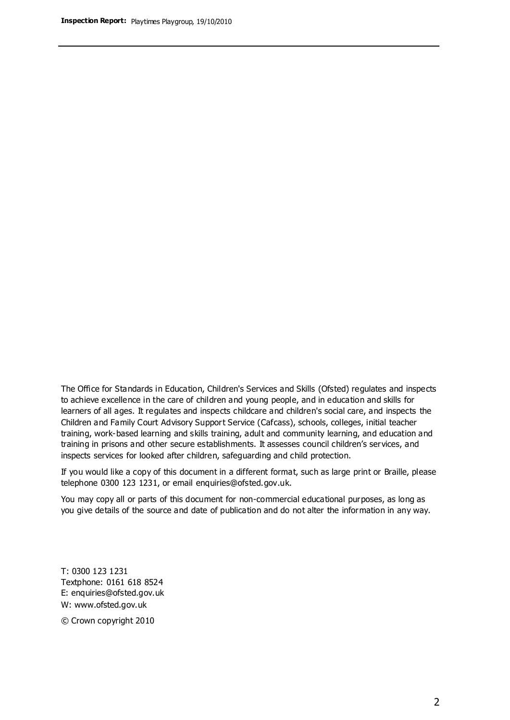The Office for Standards in Education, Children's Services and Skills (Ofsted) regulates and inspects to achieve excellence in the care of children and young people, and in education and skills for learners of all ages. It regulates and inspects childcare and children's social care, and inspects the Children and Family Court Advisory Support Service (Cafcass), schools, colleges, initial teacher training, work-based learning and skills training, adult and community learning, and education and training in prisons and other secure establishments. It assesses council children's services, and inspects services for looked after children, safeguarding and child protection.

If you would like a copy of this document in a different format, such as large print or Braille, please telephone 0300 123 1231, or email enquiries@ofsted.gov.uk.

You may copy all or parts of this document for non-commercial educational purposes, as long as you give details of the source and date of publication and do not alter the information in any way.

T: 0300 123 1231 Textphone: 0161 618 8524 E: enquiries@ofsted.gov.uk W: [www.ofsted.gov.uk](http://www.ofsted.gov.uk/)

© Crown copyright 2010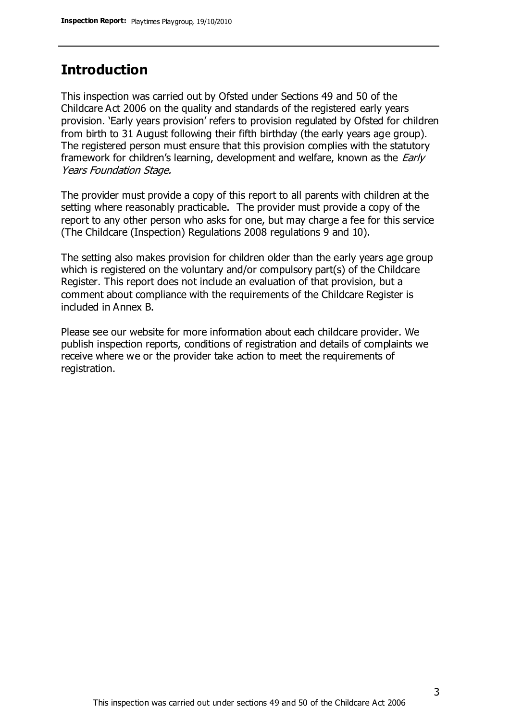## **Introduction**

This inspection was carried out by Ofsted under Sections 49 and 50 of the Childcare Act 2006 on the quality and standards of the registered early years provision. 'Early years provision' refers to provision regulated by Ofsted for children from birth to 31 August following their fifth birthday (the early years age group). The registered person must ensure that this provision complies with the statutory framework for children's learning, development and welfare, known as the *Early* Years Foundation Stage.

The provider must provide a copy of this report to all parents with children at the setting where reasonably practicable. The provider must provide a copy of the report to any other person who asks for one, but may charge a fee for this service (The Childcare (Inspection) Regulations 2008 regulations 9 and 10).

The setting also makes provision for children older than the early years age group which is registered on the voluntary and/or compulsory part(s) of the Childcare Register. This report does not include an evaluation of that provision, but a comment about compliance with the requirements of the Childcare Register is included in Annex B.

Please see our website for more information about each childcare provider. We publish inspection reports, conditions of registration and details of complaints we receive where we or the provider take action to meet the requirements of registration.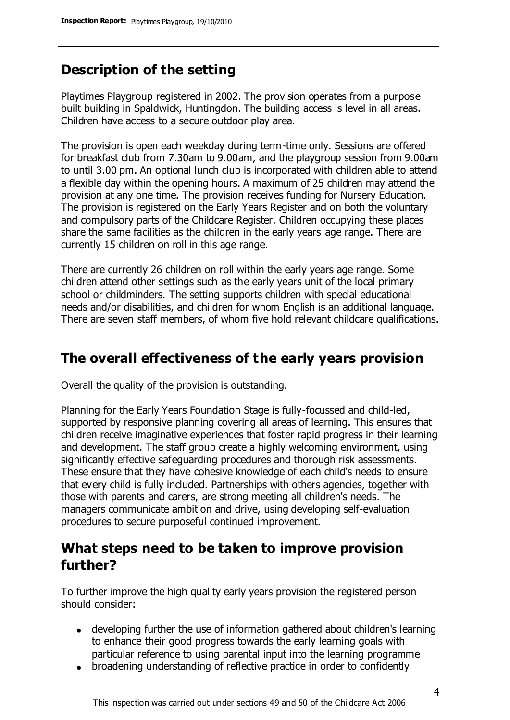# **Description of the setting**

Playtimes Playgroup registered in 2002. The provision operates from a purpose built building in Spaldwick, Huntingdon. The building access is level in all areas. Children have access to a secure outdoor play area.

The provision is open each weekday during term-time only. Sessions are offered for breakfast club from 7.30am to 9.00am, and the playgroup session from 9.00am to until 3.00 pm. An optional lunch club is incorporated with children able to attend a flexible day within the opening hours. A maximum of 25 children may attend the provision at any one time. The provision receives funding for Nursery Education. The provision is registered on the Early Years Register and on both the voluntary and compulsory parts of the Childcare Register. Children occupying these places share the same facilities as the children in the early years age range. There are currently 15 children on roll in this age range.

There are currently 26 children on roll within the early years age range. Some children attend other settings such as the early years unit of the local primary school or childminders. The setting supports children with special educational needs and/or disabilities, and children for whom English is an additional language. There are seven staff members, of whom five hold relevant childcare qualifications.

# **The overall effectiveness of the early years provision**

Overall the quality of the provision is outstanding.

Planning for the Early Years Foundation Stage is fully-focussed and child-led, supported by responsive planning covering all areas of learning. This ensures that children receive imaginative experiences that foster rapid progress in their learning and development. The staff group create a highly welcoming environment, using significantly effective safeguarding procedures and thorough risk assessments. These ensure that they have cohesive knowledge of each child's needs to ensure that every child is fully included. Partnerships with others agencies, together with those with parents and carers, are strong meeting all children's needs. The managers communicate ambition and drive, using developing self-evaluation procedures to secure purposeful continued improvement.

## **What steps need to be taken to improve provision further?**

To further improve the high quality early years provision the registered person should consider:

- developing further the use of information gathered about children's learning to enhance their good progress towards the early learning goals with particular reference to using parental input into the learning programme
- broadening understanding of reflective practice in order to confidently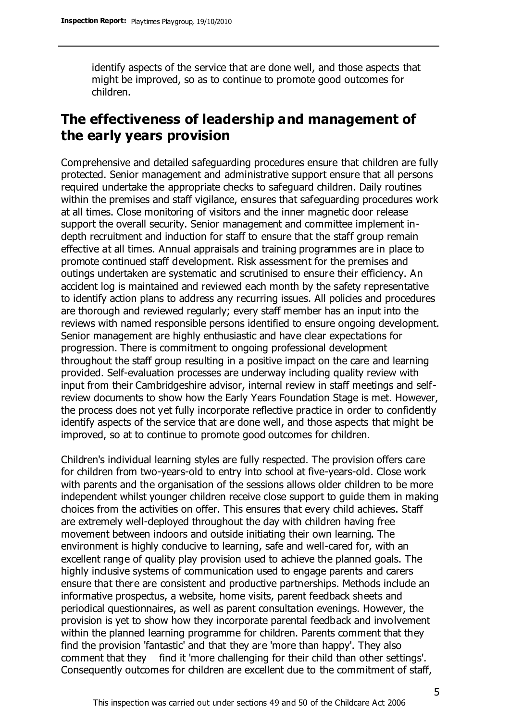identify aspects of the service that are done well, and those aspects that might be improved, so as to continue to promote good outcomes for children.

# **The effectiveness of leadership and management of the early years provision**

Comprehensive and detailed safeguarding procedures ensure that children are fully protected. Senior management and administrative support ensure that all persons required undertake the appropriate checks to safeguard children. Daily routines within the premises and staff vigilance, ensures that safeguarding procedures work at all times. Close monitoring of visitors and the inner magnetic door release support the overall security. Senior management and committee implement indepth recruitment and induction for staff to ensure that the staff group remain effective at all times. Annual appraisals and training programmes are in place to promote continued staff development. Risk assessment for the premises and outings undertaken are systematic and scrutinised to ensure their efficiency. An accident log is maintained and reviewed each month by the safety representative to identify action plans to address any recurring issues. All policies and procedures are thorough and reviewed regularly; every staff member has an input into the reviews with named responsible persons identified to ensure ongoing development. Senior management are highly enthusiastic and have clear expectations for progression. There is commitment to ongoing professional development throughout the staff group resulting in a positive impact on the care and learning provided. Self-evaluation processes are underway including quality review with input from their Cambridgeshire advisor, internal review in staff meetings and selfreview documents to show how the Early Years Foundation Stage is met. However, the process does not yet fully incorporate reflective practice in order to confidently identify aspects of the service that are done well, and those aspects that might be improved, so at to continue to promote good outcomes for children.

Children's individual learning styles are fully respected. The provision offers care for children from two-years-old to entry into school at five-years-old. Close work with parents and the organisation of the sessions allows older children to be more independent whilst younger children receive close support to guide them in making choices from the activities on offer. This ensures that every child achieves. Staff are extremely well-deployed throughout the day with children having free movement between indoors and outside initiating their own learning. The environment is highly conducive to learning, safe and well-cared for, with an excellent range of quality play provision used to achieve the planned goals. The highly inclusive systems of communication used to engage parents and carers ensure that there are consistent and productive partnerships. Methods include an informative prospectus, a website, home visits, parent feedback sheets and periodical questionnaires, as well as parent consultation evenings. However, the provision is yet to show how they incorporate parental feedback and involvement within the planned learning programme for children. Parents comment that they find the provision 'fantastic' and that they are 'more than happy'. They also comment that they find it 'more challenging for their child than other settings'. Consequently outcomes for children are excellent due to the commitment of staff,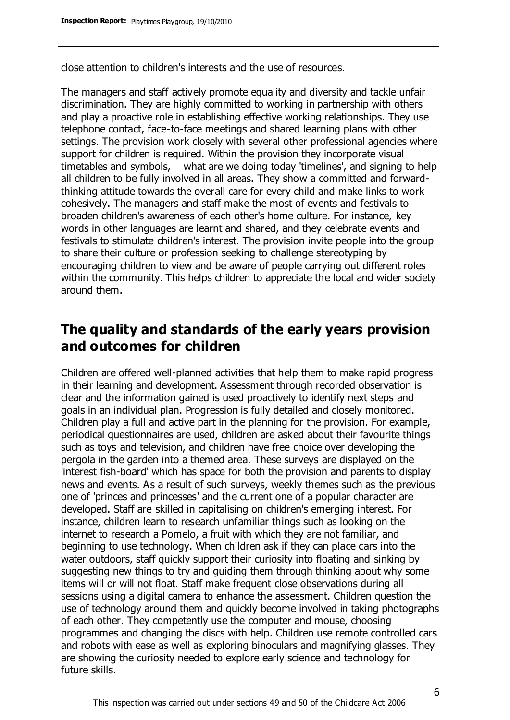close attention to children's interests and the use of resources.

The managers and staff actively promote equality and diversity and tackle unfair discrimination. They are highly committed to working in partnership with others and play a proactive role in establishing effective working relationships. They use telephone contact, face-to-face meetings and shared learning plans with other settings. The provision work closely with several other professional agencies where support for children is required. Within the provision they incorporate visual timetables and symbols, what are we doing today 'timelines', and signing to help all children to be fully involved in all areas. They show a committed and forwardthinking attitude towards the overall care for every child and make links to work cohesively. The managers and staff make the most of events and festivals to broaden children's awareness of each other's home culture. For instance, key words in other languages are learnt and shared, and they celebrate events and festivals to stimulate children's interest. The provision invite people into the group to share their culture or profession seeking to challenge stereotyping by encouraging children to view and be aware of people carrying out different roles within the community. This helps children to appreciate the local and wider society around them.

# **The quality and standards of the early years provision and outcomes for children**

Children are offered well-planned activities that help them to make rapid progress in their learning and development. Assessment through recorded observation is clear and the information gained is used proactively to identify next steps and goals in an individual plan. Progression is fully detailed and closely monitored. Children play a full and active part in the planning for the provision. For example, periodical questionnaires are used, children are asked about their favourite things such as toys and television, and children have free choice over developing the pergola in the garden into a themed area. These surveys are displayed on the 'interest fish-board' which has space for both the provision and parents to display news and events. As a result of such surveys, weekly themes such as the previous one of 'princes and princesses' and the current one of a popular character are developed. Staff are skilled in capitalising on children's emerging interest. For instance, children learn to research unfamiliar things such as looking on the internet to research a Pomelo, a fruit with which they are not familiar, and beginning to use technology. When children ask if they can place cars into the water outdoors, staff quickly support their curiosity into floating and sinking by suggesting new things to try and guiding them through thinking about why some items will or will not float. Staff make frequent close observations during all sessions using a digital camera to enhance the assessment. Children question the use of technology around them and quickly become involved in taking photographs of each other. They competently use the computer and mouse, choosing programmes and changing the discs with help. Children use remote controlled cars and robots with ease as well as exploring binoculars and magnifying glasses. They are showing the curiosity needed to explore early science and technology for future skills.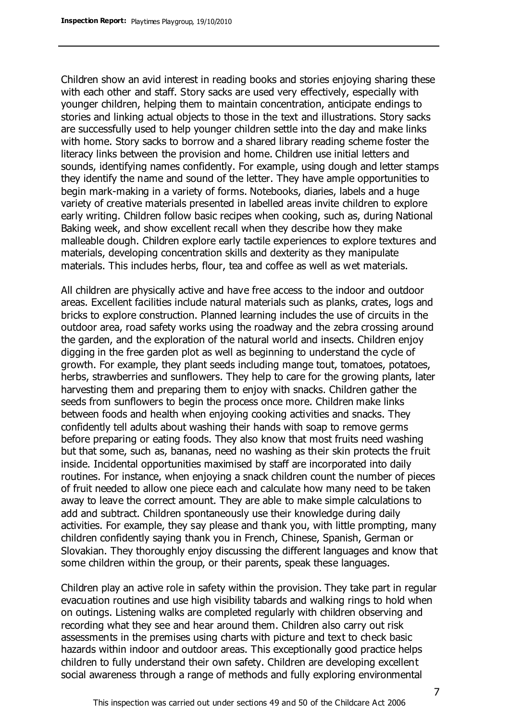Children show an avid interest in reading books and stories enjoying sharing these with each other and staff. Story sacks are used very effectively, especially with younger children, helping them to maintain concentration, anticipate endings to stories and linking actual objects to those in the text and illustrations. Story sacks are successfully used to help younger children settle into the day and make links with home. Story sacks to borrow and a shared library reading scheme foster the literacy links between the provision and home. Children use initial letters and sounds, identifying names confidently. For example, using dough and letter stamps they identify the name and sound of the letter. They have ample opportunities to begin mark-making in a variety of forms. Notebooks, diaries, labels and a huge variety of creative materials presented in labelled areas invite children to explore early writing. Children follow basic recipes when cooking, such as, during National Baking week, and show excellent recall when they describe how they make malleable dough. Children explore early tactile experiences to explore textures and materials, developing concentration skills and dexterity as they manipulate materials. This includes herbs, flour, tea and coffee as well as wet materials.

All children are physically active and have free access to the indoor and outdoor areas. Excellent facilities include natural materials such as planks, crates, logs and bricks to explore construction. Planned learning includes the use of circuits in the outdoor area, road safety works using the roadway and the zebra crossing around the garden, and the exploration of the natural world and insects. Children enjoy digging in the free garden plot as well as beginning to understand the cycle of growth. For example, they plant seeds including mange tout, tomatoes, potatoes, herbs, strawberries and sunflowers. They help to care for the growing plants, later harvesting them and preparing them to enjoy with snacks. Children gather the seeds from sunflowers to begin the process once more. Children make links between foods and health when enjoying cooking activities and snacks. They confidently tell adults about washing their hands with soap to remove germs before preparing or eating foods. They also know that most fruits need washing but that some, such as, bananas, need no washing as their skin protects the fruit inside. Incidental opportunities maximised by staff are incorporated into daily routines. For instance, when enjoying a snack children count the number of pieces of fruit needed to allow one piece each and calculate how many need to be taken away to leave the correct amount. They are able to make simple calculations to add and subtract. Children spontaneously use their knowledge during daily activities. For example, they say please and thank you, with little prompting, many children confidently saying thank you in French, Chinese, Spanish, German or Slovakian. They thoroughly enjoy discussing the different languages and know that some children within the group, or their parents, speak these languages.

Children play an active role in safety within the provision. They take part in regular evacuation routines and use high visibility tabards and walking rings to hold when on outings. Listening walks are completed regularly with children observing and recording what they see and hear around them. Children also carry out risk assessments in the premises using charts with picture and text to check basic hazards within indoor and outdoor areas. This exceptionally good practice helps children to fully understand their own safety. Children are developing excellent social awareness through a range of methods and fully exploring environmental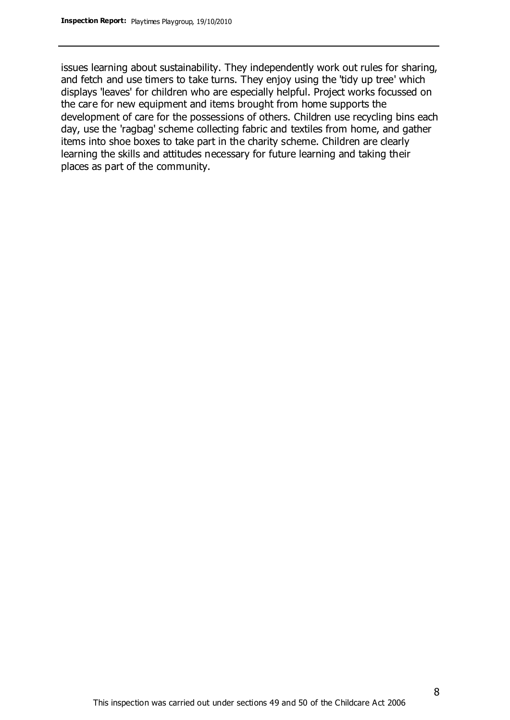issues learning about sustainability. They independently work out rules for sharing, and fetch and use timers to take turns. They enjoy using the 'tidy up tree' which displays 'leaves' for children who are especially helpful. Project works focussed on the care for new equipment and items brought from home supports the development of care for the possessions of others. Children use recycling bins each day, use the 'ragbag' scheme collecting fabric and textiles from home, and gather items into shoe boxes to take part in the charity scheme. Children are clearly learning the skills and attitudes necessary for future learning and taking their places as part of the community.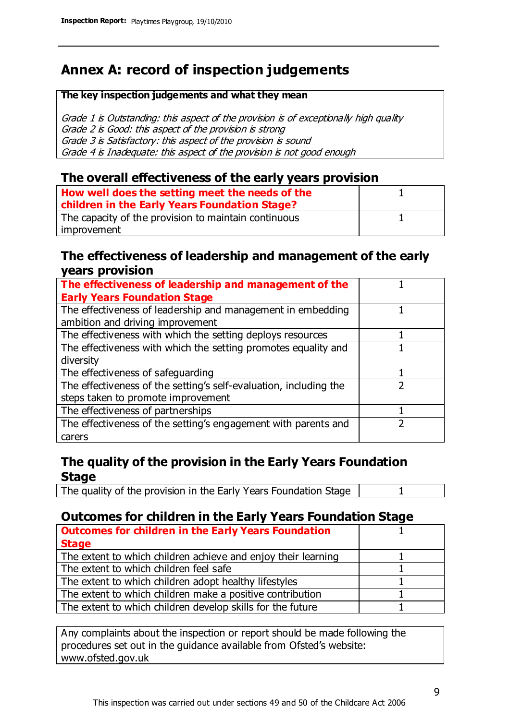# **Annex A: record of inspection judgements**

#### **The key inspection judgements and what they mean**

Grade 1 is Outstanding: this aspect of the provision is of exceptionally high quality Grade 2 is Good: this aspect of the provision is strong Grade 3 is Satisfactory: this aspect of the provision is sound Grade 4 is Inadequate: this aspect of the provision is not good enough

### **The overall effectiveness of the early years provision**

| How well does the setting meet the needs of the<br>children in the Early Years Foundation Stage? |  |
|--------------------------------------------------------------------------------------------------|--|
| The capacity of the provision to maintain continuous                                             |  |
| improvement                                                                                      |  |

### **The effectiveness of leadership and management of the early years provision**

| The effectiveness of leadership and management of the             |  |
|-------------------------------------------------------------------|--|
| <b>Early Years Foundation Stage</b>                               |  |
| The effectiveness of leadership and management in embedding       |  |
| ambition and driving improvement                                  |  |
| The effectiveness with which the setting deploys resources        |  |
| The effectiveness with which the setting promotes equality and    |  |
| diversity                                                         |  |
| The effectiveness of safeguarding                                 |  |
| The effectiveness of the setting's self-evaluation, including the |  |
| steps taken to promote improvement                                |  |
| The effectiveness of partnerships                                 |  |
| The effectiveness of the setting's engagement with parents and    |  |
| carers                                                            |  |

## **The quality of the provision in the Early Years Foundation Stage**

The quality of the provision in the Early Years Foundation Stage | 1

## **Outcomes for children in the Early Years Foundation Stage**

| <b>Outcomes for children in the Early Years Foundation</b>    |  |
|---------------------------------------------------------------|--|
| <b>Stage</b>                                                  |  |
| The extent to which children achieve and enjoy their learning |  |
| The extent to which children feel safe                        |  |
| The extent to which children adopt healthy lifestyles         |  |
| The extent to which children make a positive contribution     |  |
| The extent to which children develop skills for the future    |  |

Any complaints about the inspection or report should be made following the procedures set out in the guidance available from Ofsted's website: www.ofsted.gov.uk